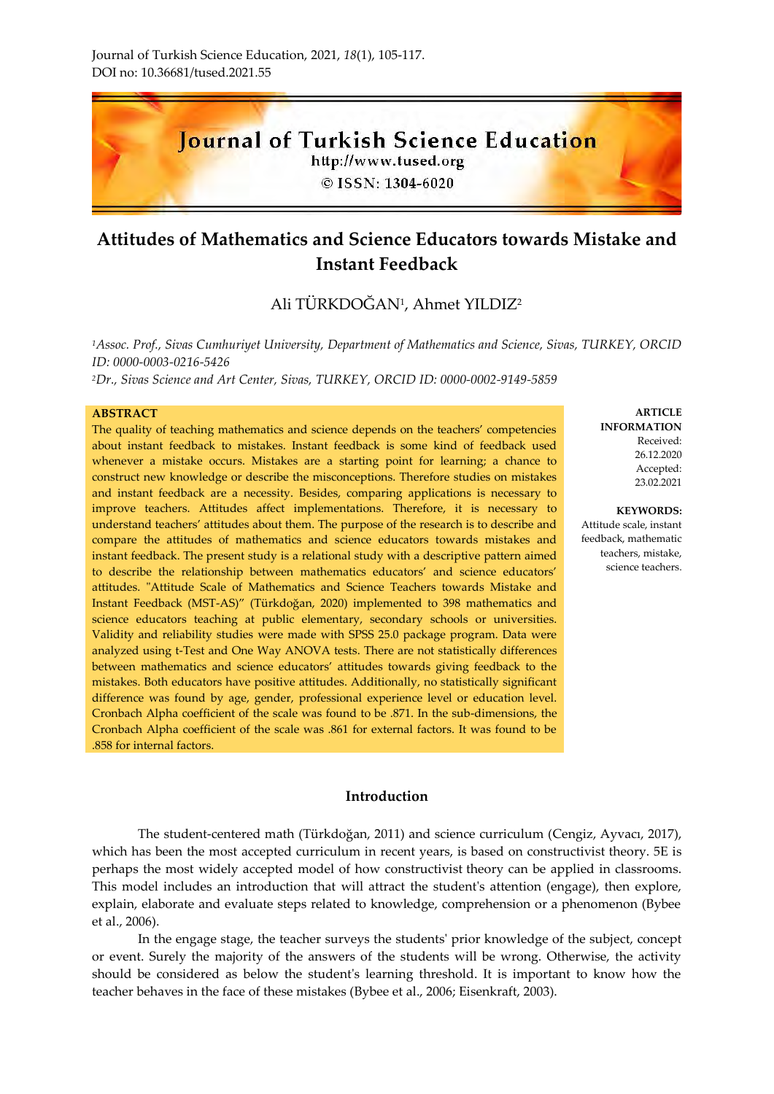

# **Attitudes of Mathematics and Science Educators towards Mistake and Instant Feedback**

## Ali TURKDOGAN<sup>1</sup>, Ahmet YILDIZ<sup>2</sup>

*<sup>1</sup>Assoc. Prof., Sivas Cumhuriyet University, Department of Mathematics and Science, Sivas, TURKEY, ORCID ID: 0000-0003-0216-5426 <sup>2</sup>Dr., Sivas Science and Art Center, Sivas, TURKEY, ORCID ID: 0000-0002-9149-5859*

#### **ABSTRACT**

The quality of teaching mathematics and science depends on the teachers' competencies about instant feedback to mistakes. Instant feedback is some kind of feedback used whenever a mistake occurs. Mistakes are a starting point for learning; a chance to construct new knowledge or describe the misconceptions. Therefore studies on mistakes and instant feedback are a necessity. Besides, comparing applications is necessary to improve teachers. Attitudes affect implementations. Therefore, it is necessary to understand teachers' attitudes about them. The purpose of the research is to describe and compare the attitudes of mathematics and science educators towards mistakes and instant feedback. The present study is a relational study with a descriptive pattern aimed to describe the relationship between mathematics educators' and science educators' attitudes. "Attitude Scale of Mathematics and Science Teachers towards Mistake and Instant Feedback (MST-AS)" (Türkdoğan, 2020) implemented to 398 mathematics and science educators teaching at public elementary, secondary schools or universities. Validity and reliability studies were made with SPSS 25.0 package program. Data were analyzed using t-Test and One Way ANOVA tests. There are not statistically differences between mathematics and science educators' attitudes towards giving feedback to the mistakes. Both educators have positive attitudes. Additionally, no statistically significant difference was found by age, gender, professional experience level or education level. Cronbach Alpha coefficient of the scale was found to be .871. In the sub-dimensions, the Cronbach Alpha coefficient of the scale was .861 for external factors. It was found to be .858 for internal factors.

#### **Introduction**

The student-centered math (Türkdoğan, 2011) and science curriculum (Cengiz, Ayvacı, 2017), which has been the most accepted curriculum in recent years, is based on constructivist theory. 5E is perhaps the most widely accepted model of how constructivist theory can be applied in classrooms. This model includes an introduction that will attract the student's attention (engage), then explore, explain, elaborate and evaluate steps related to knowledge, comprehension or a phenomenon (Bybee et al., 2006).

In the engage stage, the teacher surveys the students' prior knowledge of the subject, concept or event. Surely the majority of the answers of the students will be wrong. Otherwise, the activity should be considered as below the student's learning threshold. It is important to know how the teacher behaves in the face of these mistakes (Bybee et al., 2006; Eisenkraft, 2003).

**ARTICLE INFORMATION** Received: 26.12.2020 Accepted: 23.02.2021

**KEYWORDS:** Attitude scale, instant feedback, mathematic teachers, mistake, science teachers.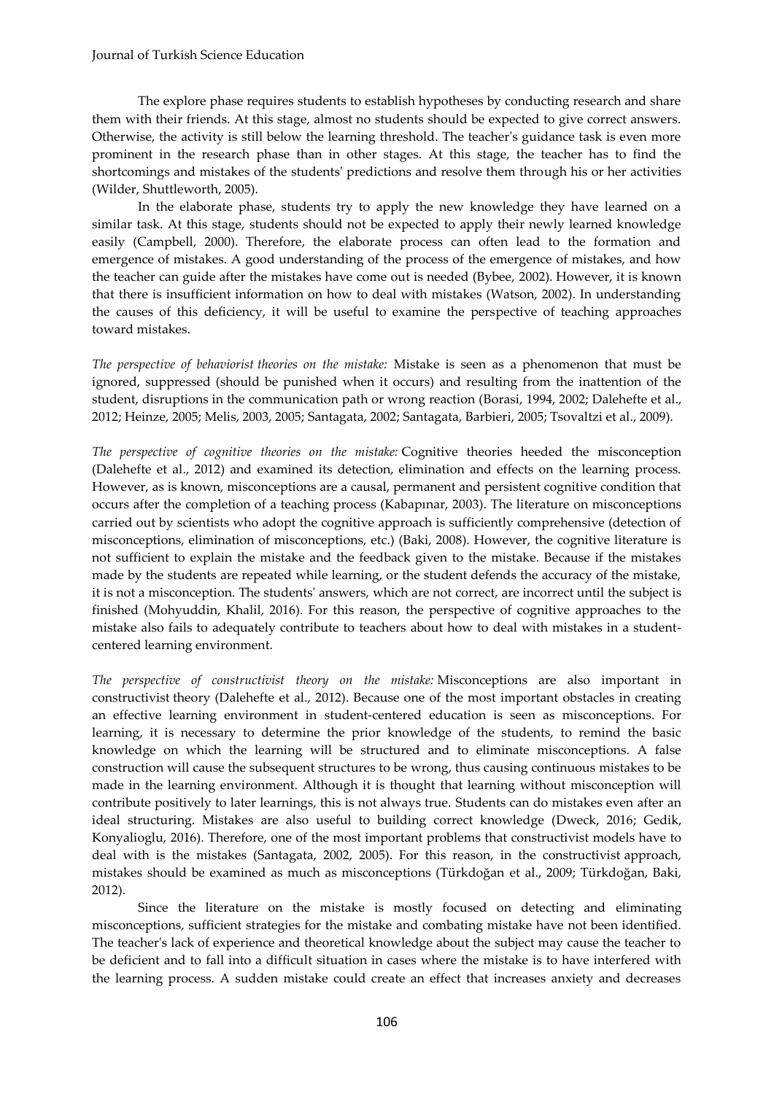#### Journal of Turkish Science Education

The explore phase requires students to establish hypotheses by conducting research and share them with their friends. At this stage, almost no students should be expected to give correct answers. Otherwise, the activity is still below the learning threshold. The teacher's guidance task is even more prominent in the research phase than in other stages. At this stage, the teacher has to find the shortcomings and mistakes of the students' predictions and resolve them through his or her activities (Wilder, Shuttleworth, 2005).

In the elaborate phase, students try to apply the new knowledge they have learned on a similar task. At this stage, students should not be expected to apply their newly learned knowledge easily (Campbell, 2000). Therefore, the elaborate process can often lead to the formation and emergence of mistakes. A good understanding of the process of the emergence of mistakes, and how the teacher can guide after the mistakes have come out is needed (Bybee, 2002). However, it is known that there is insufficient information on how to deal with mistakes (Watson, 2002). In understanding the causes of this deficiency, it will be useful to examine the perspective of teaching approaches toward mistakes.

*The perspective of behaviorist theories on the mistake:* Mistake is seen as a phenomenon that must be ignored, suppressed (should be punished when it occurs) and resulting from the inattention of the student, disruptions in the communication path or wrong reaction (Borasi, 1994, 2002; Dalehefte et al., 2012; Heinze, 2005; Melis, 2003, 2005; Santagata, 2002; Santagata, Barbieri, 2005; Tsovaltzi et al., 2009).

*The perspective of cognitive theories on the mistake:* Cognitive theories heeded the misconception (Dalehefte et al., 2012) and examined its detection, elimination and effects on the learning process. However, as is known, misconceptions are a causal, permanent and persistent cognitive condition that occurs after the completion of a teaching process (Kabapınar, 2003). The literature on misconceptions carried out by scientists who adopt the cognitive approach is sufficiently comprehensive (detection of misconceptions, elimination of misconceptions, etc.) (Baki, 2008). However, the cognitive literature is not sufficient to explain the mistake and the feedback given to the mistake. Because if the mistakes made by the students are repeated while learning, or the student defends the accuracy of the mistake, it is not a misconception. The students' answers, which are not correct, are incorrect until the subject is finished (Mohyuddin, Khalil, 2016). For this reason, the perspective of cognitive approaches to the mistake also fails to adequately contribute to teachers about how to deal with mistakes in a studentcentered learning environment.

*The perspective of constructivist theory on the mistake:* Misconceptions are also important in constructivist theory (Dalehefte et al., 2012). Because one of the most important obstacles in creating an effective learning environment in student-centered education is seen as misconceptions. For learning, it is necessary to determine the prior knowledge of the students, to remind the basic knowledge on which the learning will be structured and to eliminate misconceptions. A false construction will cause the subsequent structures to be wrong, thus causing continuous mistakes to be made in the learning environment. Although it is thought that learning without misconception will contribute positively to later learnings, this is not always true. Students can do mistakes even after an ideal structuring. Mistakes are also useful to building correct knowledge (Dweck, 2016; Gedik, Konyalioglu, 2016). Therefore, one of the most important problems that constructivist models have to deal with is the mistakes (Santagata, 2002, 2005). For this reason, in the constructivist approach, mistakes should be examined as much as misconceptions (Türkdoğan et al., 2009; Türkdoğan, Baki, 2012).

Since the literature on the mistake is mostly focused on detecting and eliminating misconceptions, sufficient strategies for the mistake and combating mistake have not been identified. The teacher's lack of experience and theoretical knowledge about the subject may cause the teacher to be deficient and to fall into a difficult situation in cases where the mistake is to have interfered with the learning process. A sudden mistake could create an effect that increases anxiety and decreases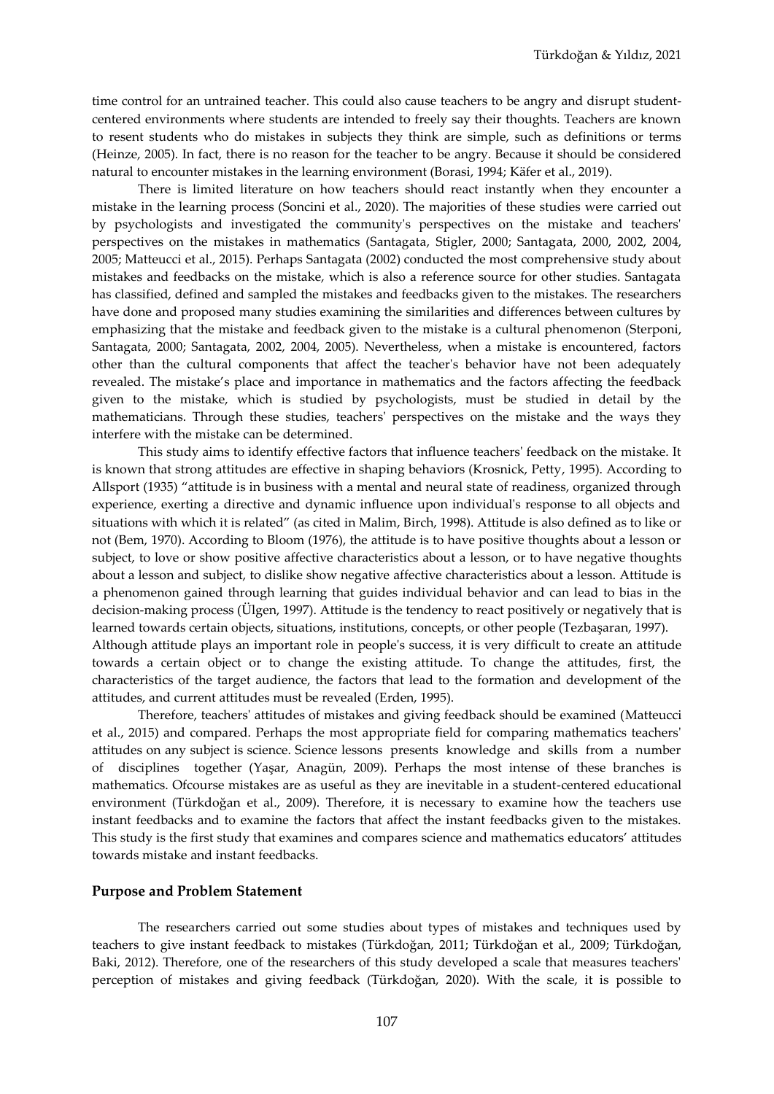time control for an untrained teacher. This could also cause teachers to be angry and disrupt studentcentered environments where students are intended to freely say their thoughts. Teachers are known to resent students who do mistakes in subjects they think are simple, such as definitions or terms (Heinze, 2005). In fact, there is no reason for the teacher to be angry. Because it should be considered natural to encounter mistakes in the learning environment (Borasi, 1994; Käfer et al., 2019).

There is limited literature on how teachers should react instantly when they encounter a mistake in the learning process (Soncini et al., 2020). The majorities of these studies were carried out by psychologists and investigated the community's perspectives on the mistake and teachers' perspectives on the mistakes in mathematics (Santagata, Stigler, 2000; Santagata, 2000, 2002, 2004, 2005; Matteucci et al., 2015). Perhaps Santagata (2002) conducted the most comprehensive study about mistakes and feedbacks on the mistake, which is also a reference source for other studies. Santagata has classified, defined and sampled the mistakes and feedbacks given to the mistakes. The researchers have done and proposed many studies examining the similarities and differences between cultures by emphasizing that the mistake and feedback given to the mistake is a cultural phenomenon (Sterponi, Santagata, 2000; Santagata, 2002, 2004, 2005). Nevertheless, when a mistake is encountered, factors other than the cultural components that affect the teacher's behavior have not been adequately revealed. The mistake's place and importance in mathematics and the factors affecting the feedback given to the mistake, which is studied by psychologists, must be studied in detail by the mathematicians. Through these studies, teachers' perspectives on the mistake and the ways they interfere with the mistake can be determined.

This study aims to identify effective factors that influence teachers' feedback on the mistake. It is known that strong attitudes are effective in shaping behaviors (Krosnick, Petty, 1995). According to Allsport (1935) "attitude is in business with a mental and neural state of readiness, organized through experience, exerting a directive and dynamic influence upon individual's response to all objects and situations with which it is related" (as cited in Malim, Birch, 1998). Attitude is also defined as to like or not (Bem, 1970). According to Bloom (1976), the attitude is to have positive thoughts about a lesson or subject, to love or show positive affective characteristics about a lesson, or to have negative thoughts about a lesson and subject, to dislike show negative affective characteristics about a lesson. Attitude is a phenomenon gained through learning that guides individual behavior and can lead to bias in the decision-making process (Ülgen, 1997). Attitude is the tendency to react positively or negatively that is learned towards certain objects, situations, institutions, concepts, or other people (Tezbaşaran, 1997). Although attitude plays an important role in people's success, it is very difficult to create an attitude towards a certain object or to change the existing attitude. To change the attitudes, first, the

characteristics of the target audience, the factors that lead to the formation and development of the attitudes, and current attitudes must be revealed (Erden, 1995).

Therefore, teachers' attitudes of mistakes and giving feedback should be examined (Matteucci et al., 2015) and compared. Perhaps the most appropriate field for comparing mathematics teachers' attitudes on any subject is science. Science lessons presents knowledge and skills from a number of disciplines together (Yaşar, Anagün, 2009). Perhaps the most intense of these branches is mathematics. Ofcourse mistakes are as useful as they are inevitable in a student-centered educational environment (Türkdoğan et al., 2009). Therefore, it is necessary to examine how the teachers use instant feedbacks and to examine the factors that affect the instant feedbacks given to the mistakes. This study is the first study that examines and compares science and mathematics educators' attitudes towards mistake and instant feedbacks.

#### **Purpose and Problem Statement**

The researchers carried out some studies about types of mistakes and techniques used by teachers to give instant feedback to mistakes (Türkdoğan, 2011; Türkdoğan et al., 2009; Türkdoğan, Baki, 2012). Therefore, one of the researchers of this study developed a scale that measures teachers' perception of mistakes and giving feedback (Türkdoğan, 2020). With the scale, it is possible to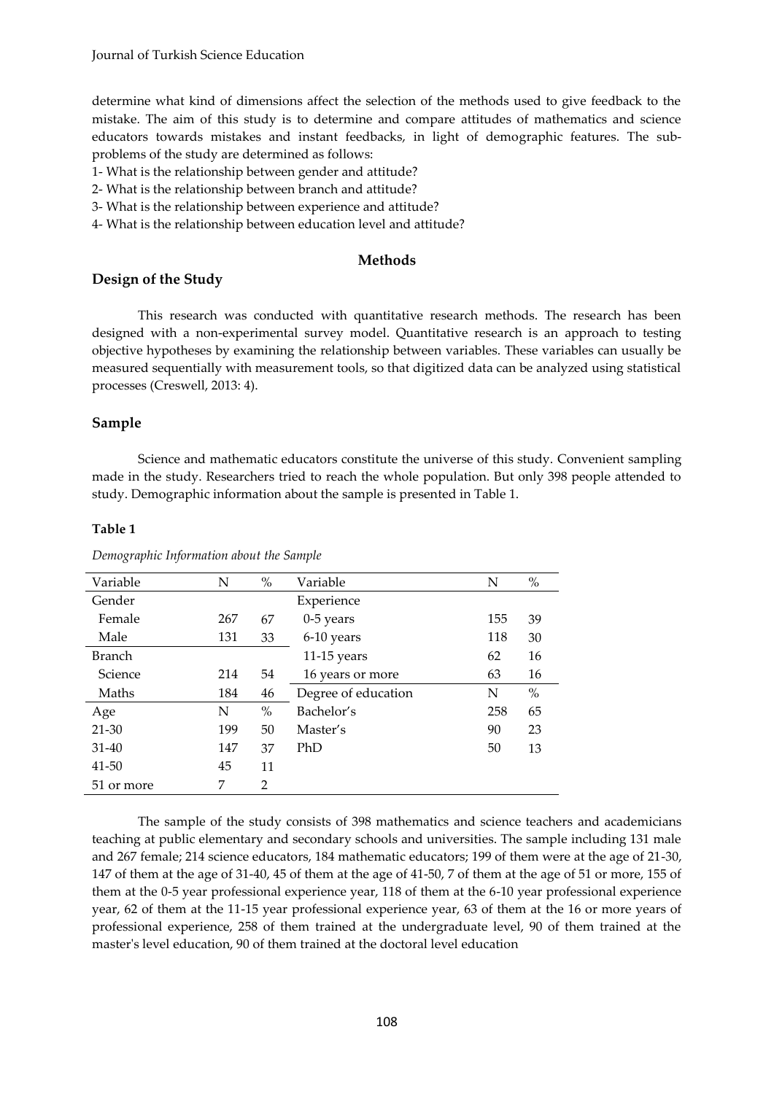determine what kind of dimensions affect the selection of the methods used to give feedback to the mistake. The aim of this study is to determine and compare attitudes of mathematics and science educators towards mistakes and instant feedbacks, in light of demographic features. The subproblems of the study are determined as follows:

- 1- What is the relationship between gender and attitude?
- 2- What is the relationship between branch and attitude?
- 3- What is the relationship between experience and attitude?
- 4- What is the relationship between education level and attitude?

## **Methods**

## **Design of the Study**

This research was conducted with quantitative research methods. The research has been designed with a non-experimental survey model. Quantitative research is an approach to testing objective hypotheses by examining the relationship between variables. These variables can usually be measured sequentially with measurement tools, so that digitized data can be analyzed using statistical processes (Creswell, 2013: 4).

## **Sample**

Science and mathematic educators constitute the universe of this study. Convenient sampling made in the study. Researchers tried to reach the whole population. But only 398 people attended to study. Demographic information about the sample is presented in Table 1.

#### **Table 1**

| Variable      | N   | $\%$ | Variable            | N   | $\%$ |
|---------------|-----|------|---------------------|-----|------|
| Gender        |     |      | Experience          |     |      |
| Female        | 267 | 67   | 0-5 years           | 155 | 39   |
| Male          | 131 | 33   | 6-10 years          | 118 | 30   |
| <b>Branch</b> |     |      | $11-15$ years       | 62  | 16   |
| Science       | 214 | 54   | 16 years or more    | 63  | 16   |
| Maths         | 184 | 46   | Degree of education | N   | $\%$ |
| Age           | N   | $\%$ | Bachelor's          | 258 | 65   |
| $21 - 30$     | 199 | 50   | Master's            | 90  | 23   |
| $31 - 40$     | 147 | 37   | PhD                 | 50  | 13   |
| 41-50         | 45  | 11   |                     |     |      |
| 51 or more    | 7   | 2    |                     |     |      |

*Demographic Information about the Sample*

The sample of the study consists of 398 mathematics and science teachers and academicians teaching at public elementary and secondary schools and universities. The sample including 131 male and 267 female; 214 science educators, 184 mathematic educators; 199 of them were at the age of 21-30, 147 of them at the age of 31-40, 45 of them at the age of 41-50, 7 of them at the age of 51 or more, 155 of them at the 0-5 year professional experience year, 118 of them at the 6-10 year professional experience year, 62 of them at the 11-15 year professional experience year, 63 of them at the 16 or more years of professional experience, 258 of them trained at the undergraduate level, 90 of them trained at the master's level education, 90 of them trained at the doctoral level education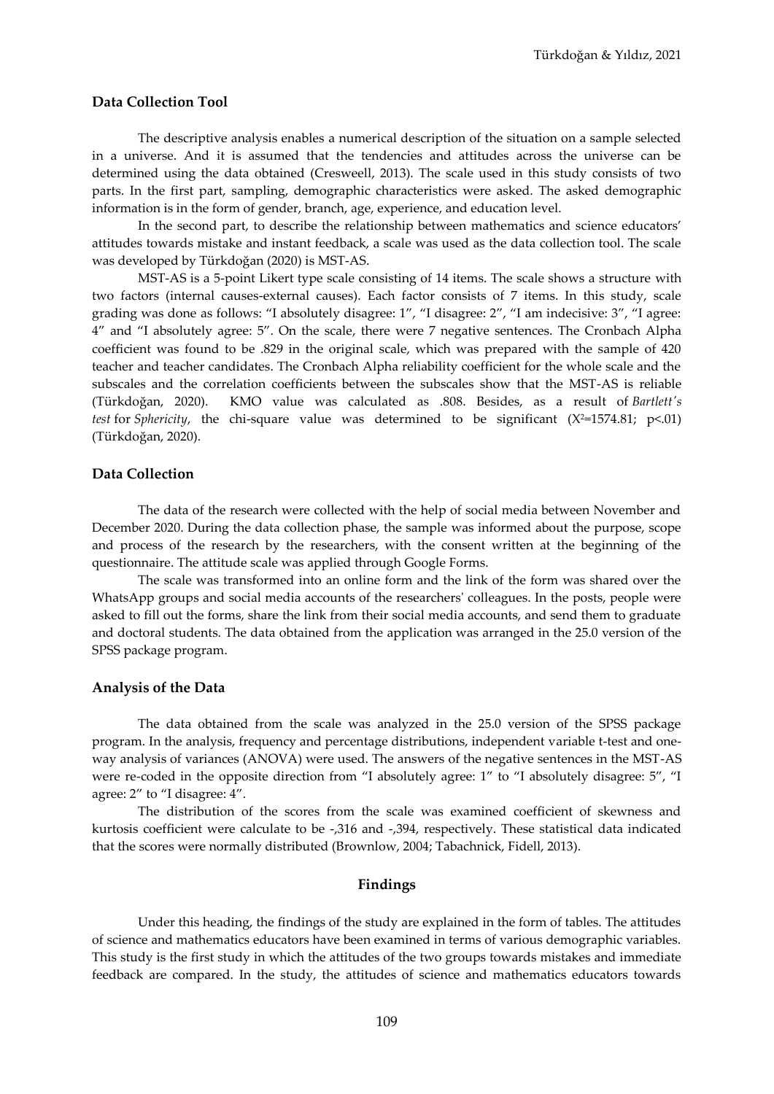#### **Data Collection Tool**

The descriptive analysis enables a numerical description of the situation on a sample selected in a universe. And it is assumed that the tendencies and attitudes across the universe can be determined using the data obtained (Cresweell, 2013). The scale used in this study consists of two parts. In the first part, sampling, demographic characteristics were asked. The asked demographic information is in the form of gender, branch, age, experience, and education level.

In the second part, to describe the relationship between mathematics and science educators' attitudes towards mistake and instant feedback, a scale was used as the data collection tool. The scale was developed by Türkdoğan (2020) is MST-AS.

MST-AS is a 5-point Likert type scale consisting of 14 items. The scale shows a structure with two factors (internal causes-external causes). Each factor consists of 7 items. In this study, scale grading was done as follows: "I absolutely disagree: 1", "I disagree: 2", "I am indecisive: 3", "I agree: 4" and "I absolutely agree: 5". On the scale, there were 7 negative sentences. The Cronbach Alpha coefficient was found to be .829 in the original scale, which was prepared with the sample of 420 teacher and teacher candidates. The Cronbach Alpha reliability coefficient for the whole scale and the subscales and the correlation coefficients between the subscales show that the MST-AS is reliable (Türkdoğan, 2020). KMO value was calculated as .808. Besides, as a result of *Bartlett's test* for *Sphericity*, the chi-square value was determined to be significant (Χ<sup>2</sup>=1574.81; p<.01) (Türkdoğan, 2020).

#### **Data Collection**

The data of the research were collected with the help of social media between November and December 2020. During the data collection phase, the sample was informed about the purpose, scope and process of the research by the researchers, with the consent written at the beginning of the questionnaire. The attitude scale was applied through Google Forms.

The scale was transformed into an online form and the link of the form was shared over the WhatsApp groups and social media accounts of the researchers' colleagues. In the posts, people were asked to fill out the forms, share the link from their social media accounts, and send them to graduate and doctoral students. The data obtained from the application was arranged in the 25.0 version of the SPSS package program.

#### **Analysis of the Data**

The data obtained from the scale was analyzed in the 25.0 version of the SPSS package program. In the analysis, frequency and percentage distributions, independent variable t-test and oneway analysis of variances (ANOVA) were used. The answers of the negative sentences in the MST-AS were re-coded in the opposite direction from "I absolutely agree: 1" to "I absolutely disagree: 5", "I agree: 2" to "I disagree: 4".

The distribution of the scores from the scale was examined coefficient of skewness and kurtosis coefficient were calculate to be -,316 and -,394, respectively. These statistical data indicated that the scores were normally distributed (Brownlow, 2004; Tabachnick, Fidell, 2013).

#### **Findings**

Under this heading, the findings of the study are explained in the form of tables. The attitudes of science and mathematics educators have been examined in terms of various demographic variables. This study is the first study in which the attitudes of the two groups towards mistakes and immediate feedback are compared. In the study, the attitudes of science and mathematics educators towards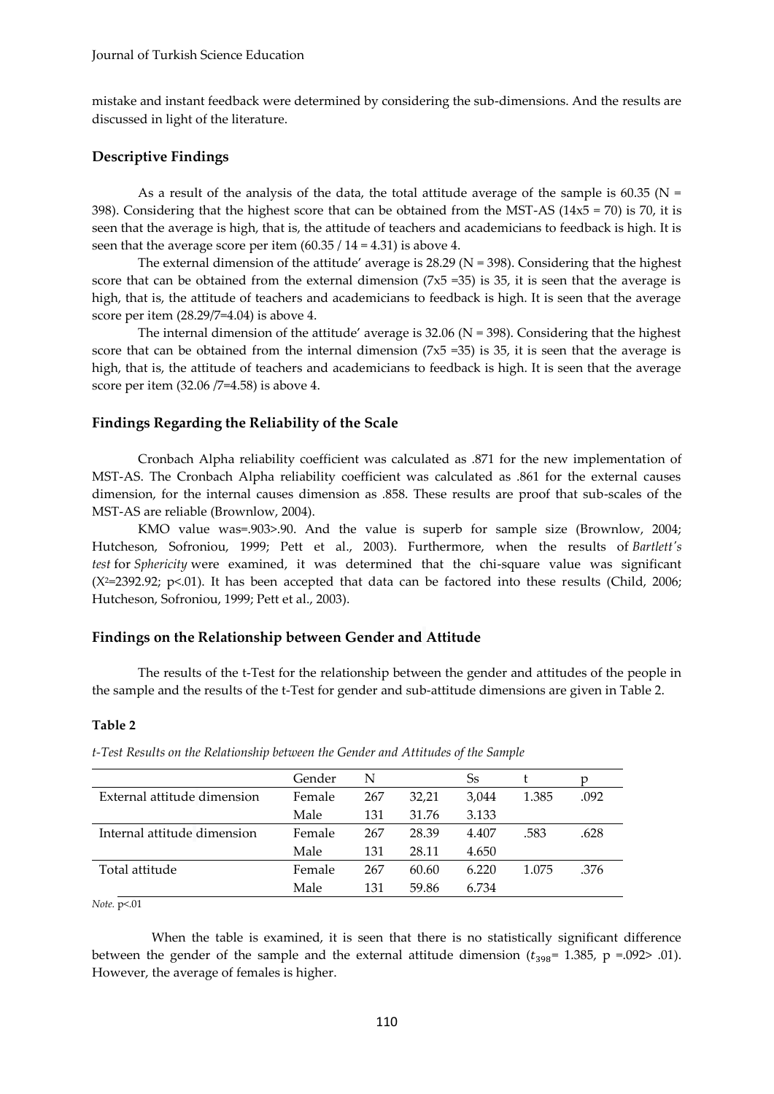mistake and instant feedback were determined by considering the sub-dimensions. And the results are discussed in light of the literature.

## **Descriptive Findings**

As a result of the analysis of the data, the total attitude average of the sample is  $60.35$  (N = 398). Considering that the highest score that can be obtained from the MST-AS ( $14x5 = 70$ ) is 70, it is seen that the average is high, that is, the attitude of teachers and academicians to feedback is high. It is seen that the average score per item (60.35 / 14 = 4.31) is above 4.

The external dimension of the attitude' average is  $28.29$  (N = 398). Considering that the highest score that can be obtained from the external dimension  $(7x5 = 35)$  is 35, it is seen that the average is high, that is, the attitude of teachers and academicians to feedback is high. It is seen that the average score per item (28.29/7=4.04) is above 4.

The internal dimension of the attitude' average is 32.06 (N = 398). Considering that the highest score that can be obtained from the internal dimension  $(7x5 = 35)$  is 35, it is seen that the average is high, that is, the attitude of teachers and academicians to feedback is high. It is seen that the average score per item (32.06 /7=4.58) is above 4.

## **Findings Regarding the Reliability of the Scale**

Cronbach Alpha reliability coefficient was calculated as .871 for the new implementation of MST-AS. The Cronbach Alpha reliability coefficient was calculated as .861 for the external causes dimension, for the internal causes dimension as .858. These results are proof that sub-scales of the MST-AS are reliable (Brownlow, 2004).

KMO value was=.903>.90. And the value is superb for sample size (Brownlow, 2004; Hutcheson, Sofroniou, 1999; Pett et al., 2003). Furthermore, when the results of *Bartlett's test* for *Sphericity* were examined, it was determined that the chi-square value was significant (Χ2=2392.92; p<.01). It has been accepted that data can be factored into these results (Child, 2006; Hutcheson, Sofroniou, 1999; Pett et al., 2003).

## **Findings on the Relationship between Gender and Attitude**

The results of the t-Test for the relationship between the gender and attitudes of the people in the sample and the results of the t-Test for gender and sub-attitude dimensions are given in Table 2.

## **Table 2**

|                             | Gender | N   |       | Ss    |       |      |
|-----------------------------|--------|-----|-------|-------|-------|------|
| External attitude dimension | Female | 267 | 32.21 | 3.044 | 1.385 | .092 |
|                             | Male   | 131 | 31.76 | 3.133 |       |      |
| Internal attitude dimension | Female | 267 | 28.39 | 4.407 | .583  | .628 |
|                             | Male   | 131 | 28.11 | 4.650 |       |      |
| Total attitude              | Female | 267 | 60.60 | 6.220 | 1.075 | .376 |
|                             | Male   | 131 | 59.86 | 6.734 |       |      |

*t-Test Results on the Relationship between the Gender and Attitudes of the Sample*

*Note.* p<.01

When the table is examined, it is seen that there is no statistically significant difference between the gender of the sample and the external attitude dimension  $(t_{398}= 1.385, p = .092> .01)$ . However, the average of females is higher.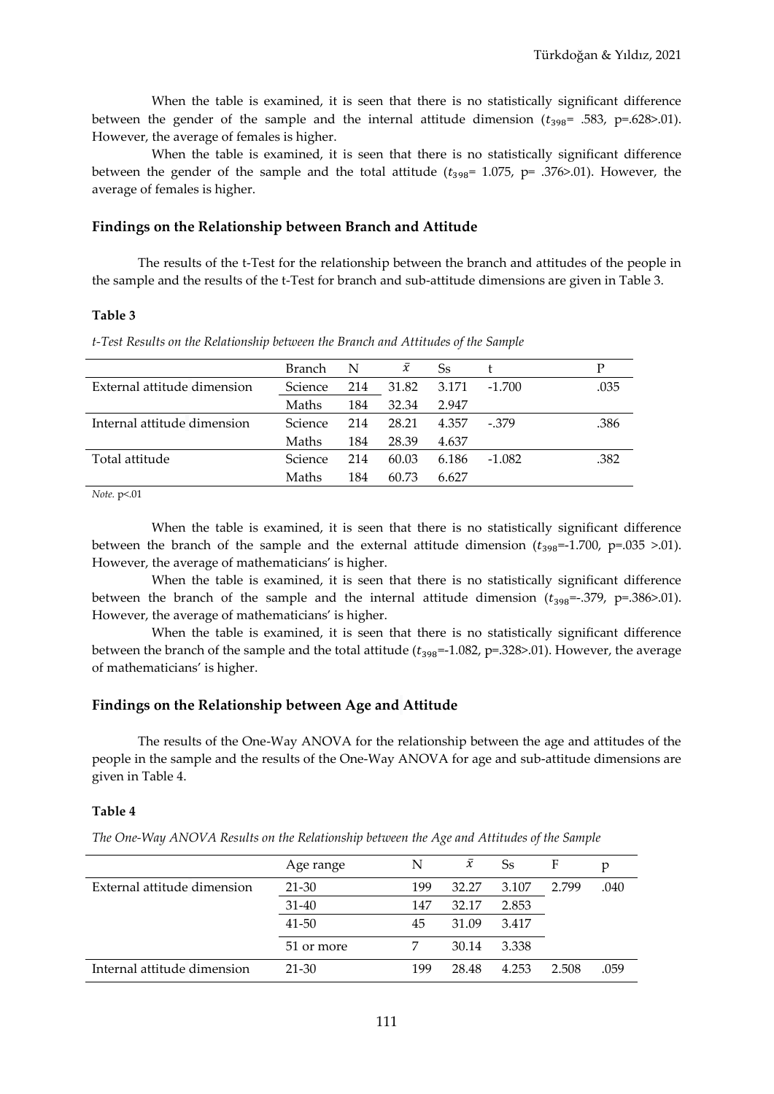When the table is examined, it is seen that there is no statistically significant difference between the gender of the sample and the internal attitude dimension  $(t_{398}$ = .583, p=.628>.01). However, the average of females is higher.

When the table is examined, it is seen that there is no statistically significant difference between the gender of the sample and the total attitude ( $t_{398}$ = 1.075, p= .376>.01). However, the average of females is higher.

## **Findings on the Relationship between Branch and Attitude**

The results of the t-Test for the relationship between the branch and attitudes of the people in the sample and the results of the t-Test for branch and sub-attitude dimensions are given in Table 3.

## **Table 3**

*t-Test Results on the Relationship between the Branch and Attitudes of the Sample*

|                             | Branch  | N   | $\bar{x}$ | Ss    |          | P    |
|-----------------------------|---------|-----|-----------|-------|----------|------|
| External attitude dimension | Science | 214 | 31.82     | 3.171 | $-1.700$ | .035 |
|                             | Maths   | 184 | 32.34     | 2.947 |          |      |
| Internal attitude dimension | Science | 214 | 28.21     | 4.357 | $-379$   | .386 |
|                             | Maths   | 184 | 28.39     | 4.637 |          |      |
| Total attitude              | Science | 214 | 60.03     | 6.186 | $-1.082$ | .382 |
|                             | Maths   | 184 | 60.73     | 6.627 |          |      |
|                             |         |     |           |       |          |      |

*Note.* p<.01

When the table is examined, it is seen that there is no statistically significant difference between the branch of the sample and the external attitude dimension  $(t_{398}=-1.700, p=.035 > .01)$ . However, the average of mathematicians' is higher.

When the table is examined, it is seen that there is no statistically significant difference between the branch of the sample and the internal attitude dimension  $(t_{398}=-.379, p=.386>0.01)$ . However, the average of mathematicians' is higher.

When the table is examined, it is seen that there is no statistically significant difference between the branch of the sample and the total attitude  $(t_{398}=-1.082, p=.328>01)$ . However, the average of mathematicians' is higher.

## **Findings on the Relationship between Age and Attitude**

The results of the One-Way ANOVA for the relationship between the age and attitudes of the people in the sample and the results of the One-Way ANOVA for age and sub-attitude dimensions are given in Table 4.

## **Table 4**

*The One-Way ANOVA Results on the Relationship between the Age and Attitudes of the Sample*

|                             | Age range  | N   | $\bar{x}$ | Ss    | F     | р    |
|-----------------------------|------------|-----|-----------|-------|-------|------|
| External attitude dimension | 21-30      | 199 | 32.27     | 3.107 | 2.799 | .040 |
|                             | $31 - 40$  | 147 | 32.17     | 2.853 |       |      |
|                             | 41-50      | 45  | 31.09     | 3.417 |       |      |
|                             | 51 or more |     | 30.14     | 3.338 |       |      |
| Internal attitude dimension | $21 - 30$  | 199 | 28.48     | 4.253 | 2.508 | .059 |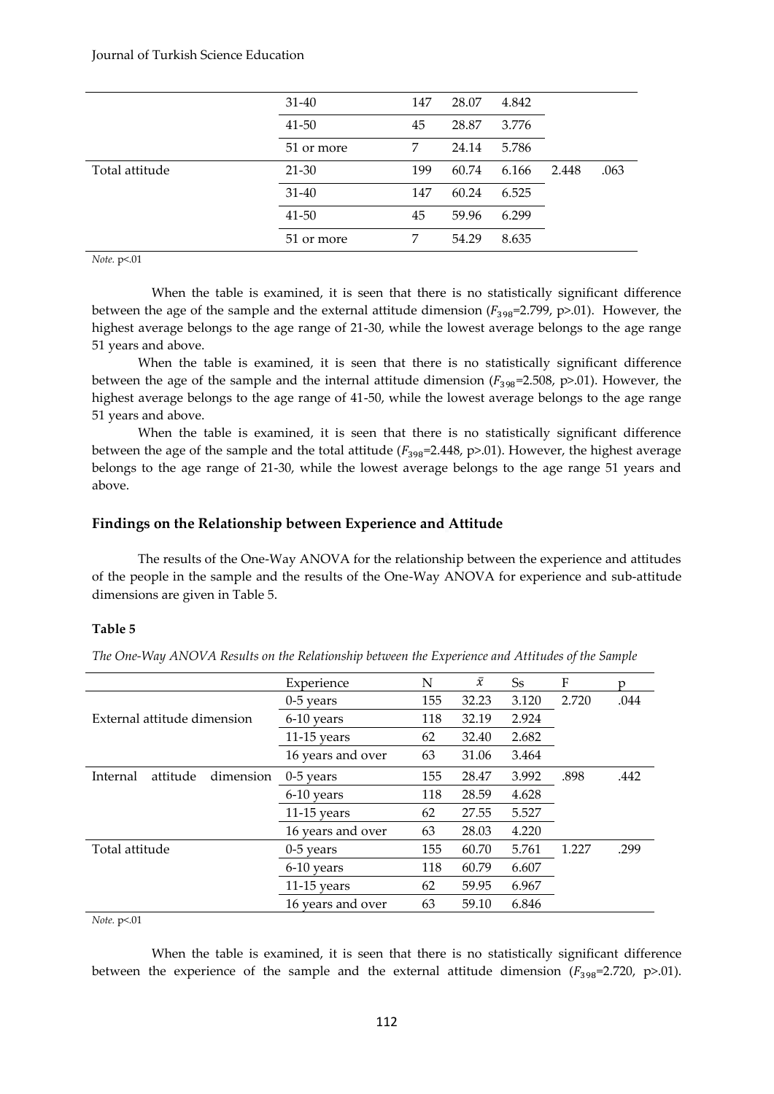|                | $31 - 40$  | 147 | 28.07 | 4.842 |       |      |
|----------------|------------|-----|-------|-------|-------|------|
|                | $41 - 50$  | 45  | 28.87 | 3.776 |       |      |
|                | 51 or more | 7   | 24.14 | 5.786 |       |      |
| Total attitude | $21 - 30$  | 199 | 60.74 | 6.166 | 2.448 | .063 |
|                | $31 - 40$  | 147 | 60.24 | 6.525 |       |      |
|                | $41 - 50$  | 45  | 59.96 | 6.299 |       |      |
|                | 51 or more | 7   | 54.29 | 8.635 |       |      |

## *Note.* p<.01

When the table is examined, it is seen that there is no statistically significant difference between the age of the sample and the external attitude dimension ( $F_{398}=2.799$ , p>.01). However, the highest average belongs to the age range of 21-30, while the lowest average belongs to the age range 51 years and above.

When the table is examined, it is seen that there is no statistically significant difference between the age of the sample and the internal attitude dimension  $(F_{398}=2.508, p>0.01)$ . However, the highest average belongs to the age range of 41-50, while the lowest average belongs to the age range 51 years and above.

When the table is examined, it is seen that there is no statistically significant difference between the age of the sample and the total attitude ( $F_{398}$ =2.448, p>.01). However, the highest average belongs to the age range of 21-30, while the lowest average belongs to the age range 51 years and above.

#### **Findings on the Relationship between Experience and Attitude**

The results of the One-Way ANOVA for the relationship between the experience and attitudes of the people in the sample and the results of the One-Way ANOVA for experience and sub-attitude dimensions are given in Table 5.

#### **Table 5**

*The One-Way ANOVA Results on the Relationship between the Experience and Attitudes of the Sample*

|                                   | Experience        | N   | $\bar{x}$ | Ss    | F     | n    |
|-----------------------------------|-------------------|-----|-----------|-------|-------|------|
|                                   | $0-5$ years       | 155 | 32.23     | 3.120 | 2.720 | .044 |
| External attitude dimension       | 6-10 years        | 118 | 32.19     | 2.924 |       |      |
|                                   | $11-15$ years     | 62  | 32.40     | 2.682 |       |      |
|                                   | 16 years and over | 63  | 31.06     | 3.464 |       |      |
| attitude<br>Internal<br>dimension | $0-5$ years       | 155 | 28.47     | 3.992 | .898  | .442 |
|                                   | 6-10 years        | 118 | 28.59     | 4.628 |       |      |
|                                   | $11-15$ years     | 62  | 27.55     | 5.527 |       |      |
|                                   | 16 years and over | 63  | 28.03     | 4.220 |       |      |
| Total attitude                    | $0-5$ years       | 155 | 60.70     | 5.761 | 1.227 | .299 |
|                                   | 6-10 years        | 118 | 60.79     | 6.607 |       |      |
|                                   | $11-15$ years     | 62  | 59.95     | 6.967 |       |      |
|                                   | 16 years and over | 63  | 59.10     | 6.846 |       |      |

## *Note.* p<.01

When the table is examined, it is seen that there is no statistically significant difference between the experience of the sample and the external attitude dimension  $(F_{398}=2.720, p>01)$ .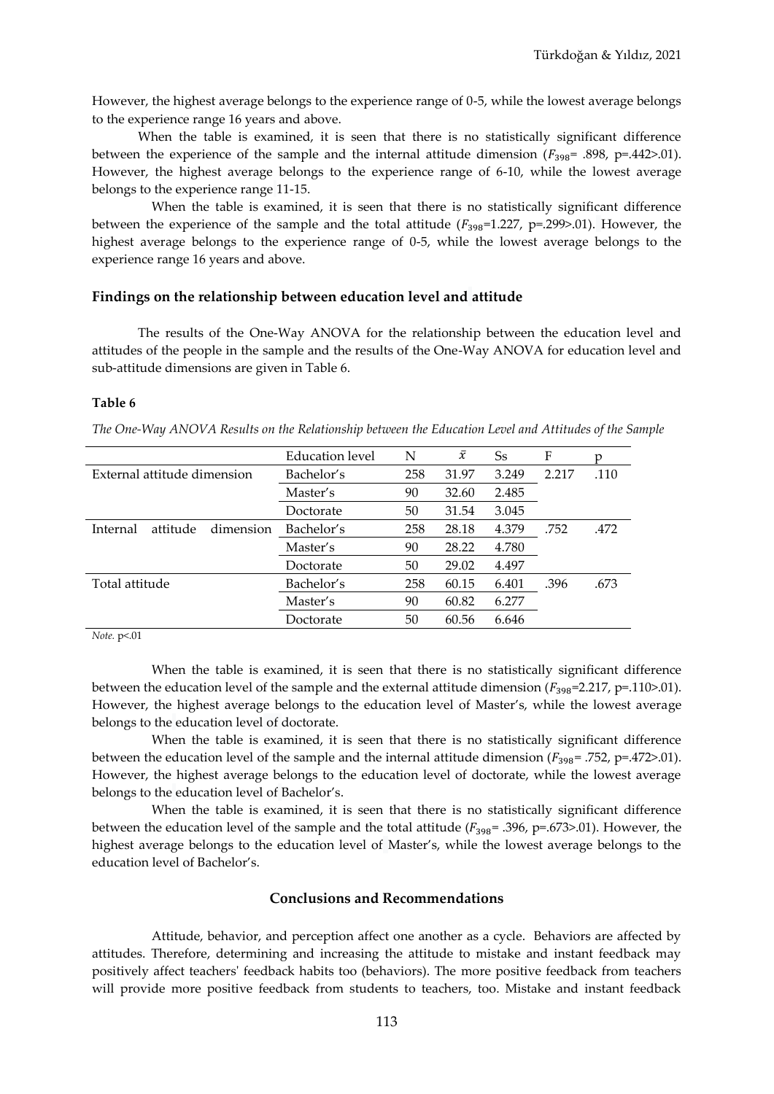However, the highest average belongs to the experience range of 0-5, while the lowest average belongs to the experience range 16 years and above.

When the table is examined, it is seen that there is no statistically significant difference between the experience of the sample and the internal attitude dimension  $(F_{398} = .898, p=.442>.01)$ . However, the highest average belongs to the experience range of 6-10, while the lowest average belongs to the experience range 11-15.

When the table is examined, it is seen that there is no statistically significant difference between the experience of the sample and the total attitude  $(F_{398}=1.227, p=.299>0.01)$ . However, the highest average belongs to the experience range of 0-5, while the lowest average belongs to the experience range 16 years and above.

#### **Findings on the relationship between education level and attitude**

The results of the One-Way ANOVA for the relationship between the education level and attitudes of the people in the sample and the results of the One-Way ANOVA for education level and sub-attitude dimensions are given in Table 6.

#### **Table 6**

*The One-Way ANOVA Results on the Relationship between the Education Level and Attitudes of the Sample*

|                                   | <b>Education level</b> | N   | $\bar{x}$ | Ss    | F     |      |
|-----------------------------------|------------------------|-----|-----------|-------|-------|------|
| External attitude dimension       | Bachelor's             | 258 | 31.97     | 3.249 | 2.217 | .110 |
|                                   | Master's               | 90  | 32.60     | 2.485 |       |      |
|                                   | Doctorate              | 50  | 31.54     | 3.045 |       |      |
| Internal<br>attitude<br>dimension | Bachelor's             | 258 | 28.18     | 4.379 | .752  | .472 |
|                                   | Master's               | 90  | 28.22     | 4.780 |       |      |
|                                   | Doctorate              | 50  | 29.02     | 4.497 |       |      |
| Total attitude                    | Bachelor's             | 258 | 60.15     | 6.401 | .396  | .673 |
|                                   | Master's               | 90  | 60.82     | 6.277 |       |      |
|                                   | Doctorate              | 50  | 60.56     | 6.646 |       |      |
|                                   |                        |     |           |       |       |      |

*Note.* p<.01

When the table is examined, it is seen that there is no statistically significant difference between the education level of the sample and the external attitude dimension ( $F_{398}$ =2.217, p=.110>.01). However, the highest average belongs to the education level of Master's, while the lowest average belongs to the education level of doctorate.

When the table is examined, it is seen that there is no statistically significant difference between the education level of the sample and the internal attitude dimension ( $F_{398}$ = .752, p=.472>.01). However, the highest average belongs to the education level of doctorate, while the lowest average belongs to the education level of Bachelor's.

When the table is examined, it is seen that there is no statistically significant difference between the education level of the sample and the total attitude  $(F_{398}= .396, p=.673>.01)$ . However, the highest average belongs to the education level of Master's, while the lowest average belongs to the education level of Bachelor's.

#### **Conclusions and Recommendations**

Attitude, behavior, and perception affect one another as a cycle. Behaviors are affected by attitudes. Therefore, determining and increasing the attitude to mistake and instant feedback may positively affect teachers' feedback habits too (behaviors). The more positive feedback from teachers will provide more positive feedback from students to teachers, too. Mistake and instant feedback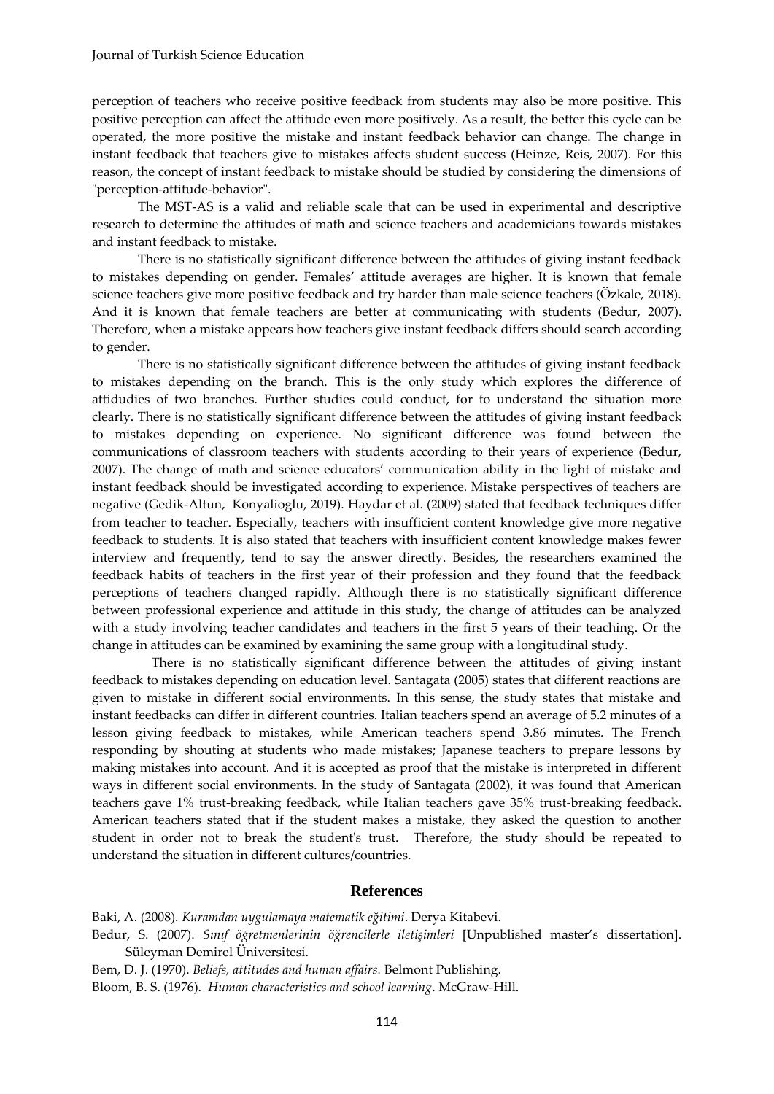perception of teachers who receive positive feedback from students may also be more positive. This positive perception can affect the attitude even more positively. As a result, the better this cycle can be operated, the more positive the mistake and instant feedback behavior can change. The change in instant feedback that teachers give to mistakes affects student success (Heinze, Reis, 2007). For this reason, the concept of instant feedback to mistake should be studied by considering the dimensions of "perception-attitude-behavior".

The MST-AS is a valid and reliable scale that can be used in experimental and descriptive research to determine the attitudes of math and science teachers and academicians towards mistakes and instant feedback to mistake.

There is no statistically significant difference between the attitudes of giving instant feedback to mistakes depending on gender. Females' attitude averages are higher. It is known that female science teachers give more positive feedback and try harder than male science teachers (Özkale, 2018). And it is known that female teachers are better at communicating with students (Bedur, 2007). Therefore, when a mistake appears how teachers give instant feedback differs should search according to gender.

There is no statistically significant difference between the attitudes of giving instant feedback to mistakes depending on the branch. This is the only study which explores the difference of attidudies of two branches. Further studies could conduct, for to understand the situation more clearly. There is no statistically significant difference between the attitudes of giving instant feedback to mistakes depending on experience. No significant difference was found between the communications of classroom teachers with students according to their years of experience (Bedur, 2007). The change of math and science educators' communication ability in the light of mistake and instant feedback should be investigated according to experience. Mistake perspectives of teachers are negative (Gedik-Altun, Konyalioglu, 2019). Haydar et al. (2009) stated that feedback techniques differ from teacher to teacher. Especially, teachers with insufficient content knowledge give more negative feedback to students. It is also stated that teachers with insufficient content knowledge makes fewer interview and frequently, tend to say the answer directly. Besides, the researchers examined the feedback habits of teachers in the first year of their profession and they found that the feedback perceptions of teachers changed rapidly. Although there is no statistically significant difference between professional experience and attitude in this study, the change of attitudes can be analyzed with a study involving teacher candidates and teachers in the first 5 years of their teaching. Or the change in attitudes can be examined by examining the same group with a longitudinal study.

There is no statistically significant difference between the attitudes of giving instant feedback to mistakes depending on education level. Santagata (2005) states that different reactions are given to mistake in different social environments. In this sense, the study states that mistake and instant feedbacks can differ in different countries. Italian teachers spend an average of 5.2 minutes of a lesson giving feedback to mistakes, while American teachers spend 3.86 minutes. The French responding by shouting at students who made mistakes; Japanese teachers to prepare lessons by making mistakes into account. And it is accepted as proof that the mistake is interpreted in different ways in different social environments. In the study of Santagata (2002), it was found that American teachers gave 1% trust-breaking feedback, while Italian teachers gave 35% trust-breaking feedback. American teachers stated that if the student makes a mistake, they asked the question to another student in order not to break the student's trust. Therefore, the study should be repeated to understand the situation in different cultures/countries.

## **References**

Baki, A. (2008). *Kuramdan uygulamaya matematik eğitimi*. Derya Kitabevi.

Bedur, S. (2007). *Sınıf öğretmenlerinin öğrencilerle iletişimleri* [Unpublished master's dissertation]. Süleyman Demirel Üniversitesi.

Bem, D. J. (1970). *Beliefs, attitudes and human affairs.* Belmont Publishing.

Bloom, B. S. (1976). *Human characteristics and school learning*. McGraw-Hill.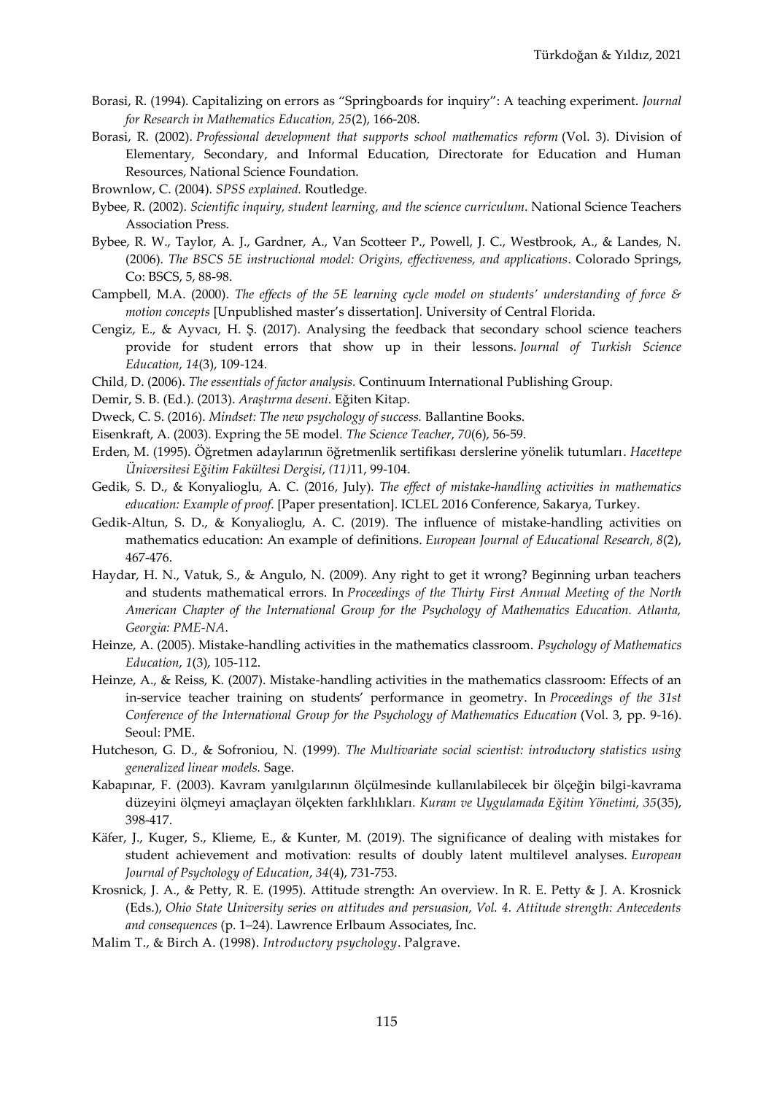- Borasi, R. (1994). Capitalizing on errors as "Springboards for inquiry": A teaching experiment. *Journal for Research in Mathematics Education, 25*(2), 166-208.
- Borasi, R. (2002). *Professional development that supports school mathematics reform* (Vol. 3). Division of Elementary, Secondary, and Informal Education, Directorate for Education and Human Resources, National Science Foundation.
- Brownlow, C. (2004). *SPSS explained.* Routledge.
- Bybee, R. (2002). *Scientific inquiry, student learning, and the science curriculum*. National Science Teachers Association Press.
- Bybee, R. W., Taylor, A. J., Gardner, A., Van Scotteer P., Powell, J. C., Westbrook, A., & Landes, N. (2006). *The BSCS 5E instructional model: Origins, effectiveness, and applications*. Colorado Springs, Co: BSCS, 5, 88-98.
- Campbell, M.A. (2000). *The effects of the 5E learning cycle model on students' understanding of force & motion concepts* [Unpublished master's dissertation]*.* University of Central Florida.
- Cengiz, E., & Ayvacı, H. Ş. (2017). Analysing the feedback that secondary school science teachers provide for student errors that show up in their lessons. *Journal of Turkish Science Education*, *14*(3), 109-124.
- Child, D. (2006). *The essentials of factor analysis.* Continuum International Publishing Group.
- Demir, S. B. (Ed.). (2013). *Araştırma deseni*. Eğiten Kitap.
- Dweck, C. S. (2016). *Mindset: The new psychology of success.* Ballantine Books.
- Eisenkraft, A. (2003). Expring the 5E model*. The Science Teacher*, *70*(6), 56-59.
- Erden, M. (1995). Öğretmen adaylarının öğretmenlik sertifikası derslerine yönelik tutumları. *Hacettepe Üniversitesi Eğitim Fakültesi Dergisi*, *(11)*11, 99-104.
- Gedik, S. D., & Konyalioglu, A. C. (2016, July). *The effect of mistake-handling activities in mathematics education: Example of proof*. [Paper presentation]. ICLEL 2016 Conference, Sakarya, Turkey.
- Gedik-Altun, S. D., & Konyalioglu, A. C. (2019). The influence of mistake-handling activities on mathematics education: An example of definitions. *European Journal of Educational Research*, *8*(2), 467-476.
- Haydar, H. N., Vatuk, S., & Angulo, N. (2009). Any right to get it wrong? Beginning urban teachers and students mathematical errors. In *Proceedings of the Thirty First Annual Meeting of the North American Chapter of the International Group for the Psychology of Mathematics Education. Atlanta, Georgia: PME-NA*.
- Heinze, A. (2005). Mistake-handling activities in the mathematics classroom. *Psychology of Mathematics Education*, *1*(3), 105-112.
- Heinze, A., & Reiss, K. (2007). Mistake-handling activities in the mathematics classroom: Effects of an in-service teacher training on students' performance in geometry. In *Proceedings of the 31st Conference of the International Group for the Psychology of Mathematics Education* (Vol. 3, pp. 9-16). Seoul: PME.
- Hutcheson, G. D., & Sofroniou, N. (1999). *The Multivariate social scientist: introductory statistics using generalized linear models.* Sage.
- Kabapınar, F. (2003). Kavram yanılgılarının ölçülmesinde kullanılabilecek bir ölçeğin bilgi-kavrama düzeyini ölçmeyi amaçlayan ölçekten farklılıkları*. Kuram ve Uygulamada Eğitim Yönetimi, 35*(35), 398-417.
- Käfer, J., Kuger, S., Klieme, E., & Kunter, M. (2019). The significance of dealing with mistakes for student achievement and motivation: results of doubly latent multilevel analyses. *European Journal of Psychology of Education*, *34*(4), 731-753.
- Krosnick, J. A., & Petty, R. E. (1995). Attitude strength: An overview. In R. E. Petty & J. A. Krosnick (Eds.), *Ohio State University series on attitudes and persuasion, Vol. 4. Attitude strength: Antecedents and consequences* (p. 1–24). Lawrence Erlbaum Associates, Inc.
- Malim T., & Birch A. (1998). *Introductory psychology*. Palgrave.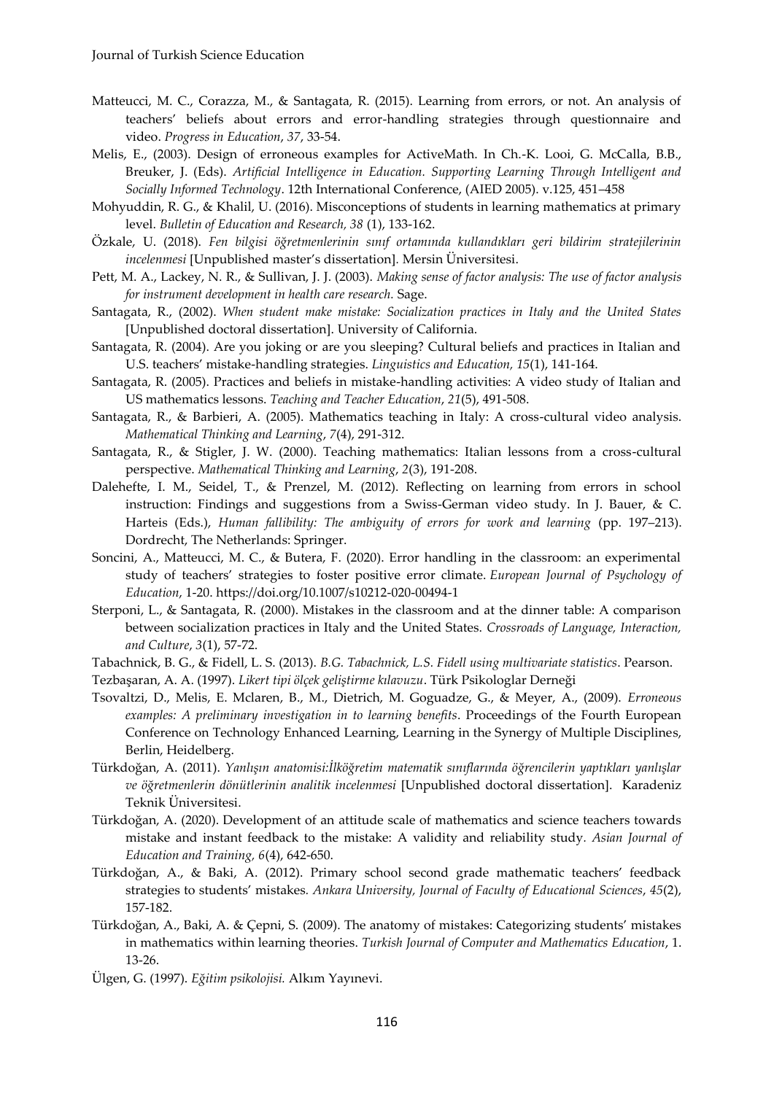- Matteucci, M. C., Corazza, M., & Santagata, R. (2015). Learning from errors, or not. An analysis of teachers' beliefs about errors and error-handling strategies through questionnaire and video. *Progress in Education*, *37*, 33-54.
- Melis, E., (2003). Design of erroneous examples for ActiveMath. In Ch.-K. Looi, G. McCalla, B.B., Breuker, J. (Eds). *Artificial Intelligence in Education. Supporting Learning Through Intelligent and Socially Informed Technology*. 12th International Conference, (AIED 2005). v.125, 451–458
- Mohyuddin, R. G., & Khalil, U. (2016). Misconceptions of students in learning mathematics at primary level. *Bulletin of Education and Research, 38* (1), 133-162.
- Özkale, U. (2018). *Fen bilgisi öğretmenlerinin sınıf ortamında kullandıkları geri bildirim stratejilerinin incelenmesi* [Unpublished master's dissertation]*.* Mersin Üniversitesi.
- Pett, M. A., Lackey, N. R., & Sullivan, J. J. (2003). *Making sense of factor analysis: The use of factor analysis for instrument development in health care research.* Sage.
- Santagata, R., (2002). *When student make mistake: Socialization practices in Italy and the United States* [Unpublished doctoral dissertation]. University of California.
- Santagata, R. (2004). Are you joking or are you sleeping? Cultural beliefs and practices in Italian and U.S. teachers' mistake-handling strategies. *Linguistics and Education, 15*(1), 141-164.
- Santagata, R. (2005). Practices and beliefs in mistake-handling activities: A video study of Italian and US mathematics lessons. *Teaching and Teacher Education*, *21*(5), 491-508.
- Santagata, R., & Barbieri, A. (2005). Mathematics teaching in Italy: A cross-cultural video analysis. *Mathematical Thinking and Learning*, *7*(4), 291-312.
- Santagata, R., & Stigler, J. W. (2000). Teaching mathematics: Italian lessons from a cross-cultural perspective. *Mathematical Thinking and Learning*, *2*(3), 191-208.
- Dalehefte, I. M., Seidel, T., & Prenzel, M. (2012). Reflecting on learning from errors in school instruction: Findings and suggestions from a Swiss-German video study. In J. Bauer, & C. Harteis (Eds.), *Human fallibility: The ambiguity of errors for work and learning* (pp. 197–213). Dordrecht, The Netherlands: Springer.
- Soncini, A., Matteucci, M. C., & Butera, F. (2020). Error handling in the classroom: an experimental study of teachers' strategies to foster positive error climate. *European Journal of Psychology of Education*, 1-20. https://doi.org/10.1007/s10212-020-00494-1
- Sterponi, L., & Santagata, R. (2000). Mistakes in the classroom and at the dinner table: A comparison between socialization practices in Italy and the United States. *Crossroads of Language, Interaction, and Culture*, *3*(1), 57-72.
- Tabachnick, B. G., & Fidell, L. S. (2013). *B.G. Tabachnick, L.S. Fidell using multivariate statistics*. Pearson.
- Tezbaşaran, A. A. (1997). *Likert tipi ölçek geliştirme kılavuzu*. Türk Psikologlar Derneği
- Tsovaltzi, D., Melis, E. Mclaren, B., M., Dietrich, M. Goguadze, G., & Meyer, A., (2009). *Erroneous examples: A preliminary investigation in to learning benefits*. Proceedings of the Fourth European Conference on Technology Enhanced Learning, Learning in the Synergy of Multiple Disciplines, Berlin, Heidelberg.
- Türkdoğan, A. (2011). *Yanlışın anatomisi:İlköğretim matematik sınıflarında öğrencilerin yaptıkları yanlışlar ve öğretmenlerin dönütlerinin analitik incelenmesi* [Unpublished doctoral dissertation]. Karadeniz Teknik Üniversitesi.
- Türkdoğan, A. (2020). Development of an attitude scale of mathematics and science teachers towards mistake and instant feedback to the mistake: A validity and reliability study*. Asian Journal of Education and Training, 6*(4), 642-650.
- Türkdoğan, A., & Baki, A. (2012). Primary school second grade mathematic teachers' feedback strategies to students' mistakes*. Ankara University, Journal of Faculty of Educational Sciences*, *45*(2), 157-182.
- Türkdoğan, A., Baki, A. & Çepni, S. (2009). The anatomy of mistakes: Categorizing students' mistakes in mathematics within learning theories. *Turkish Journal of Computer and Mathematics Education*, 1. 13-26.
- Ülgen, G. (1997). *Eğitim psikolojisi.* Alkım Yayınevi.